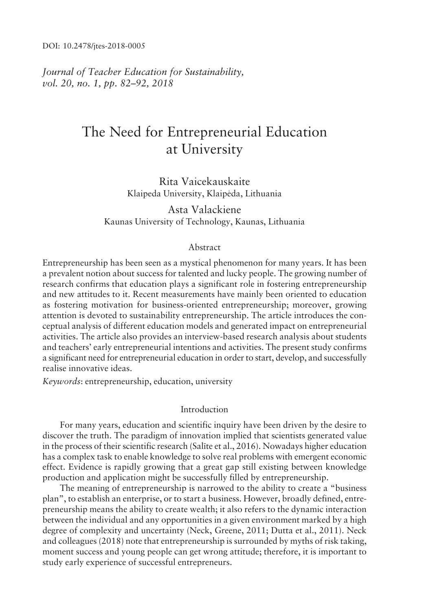DOI: 10.2478/jtes-2018-0005

*Journal of Teacher Education for Sustainability, vol.* 20, no. 1, pp. 82–92, 2018

# The Need for Entrepreneurial Education at University

Rita Vaicekauskaite Klaipeda University, Klaipėda, Lithuania

Asta Valackiene Kaunas University of Technology, Kaunas, Lithuania

# Abstract

Entrepreneurship has been seen as a mystical phenomenon for many years. It has been a prevalent notion about success for talented and lucky people. The growing number of research confirms that education plays a significant role in fostering entrepreneurship and new attitudes to it. Recent measurements have mainly been oriented to education as fostering motivation for business-oriented entrepreneurship; moreover, growing attention is devoted to sustainability entrepreneurship. The article introduces the conceptual analysis of different education models and generated impact on entrepreneurial activities. The article also provides an interview-based research analysis about students and teachersí early entrepreneurial intentions and activities. The present study confirms a significant need for entrepreneurial education in order to start, develop, and successfully realise innovative ideas.

*Keywords*: entrepreneurship, education, university

#### Introduction

For many years, education and scientific inquiry have been driven by the desire to discover the truth. The paradigm of innovation implied that scientists generated value in the process of their scientific research (Salīte et al.,  $2016$ ). Nowadays higher education has a complex task to enable knowledge to solve real problems with emergent economic effect. Evidence is rapidly growing that a great gap still existing between knowledge production and application might be successfully filled by entrepreneurship.

The meaning of entrepreneurship is narrowed to the ability to create a "business" planî, to establish an enterprise, or to start a business. However, broadly defined, entrepreneurship means the ability to create wealth; it also refers to the dynamic interaction between the individual and any opportunities in a given environment marked by a high degree of complexity and uncertainty (Neck, Greene, 2011; Dutta et al., 2011). Neck and colleagues (2018) note that entrepreneurship is surrounded by myths of risk taking, moment success and young people can get wrong attitude; therefore, it is important to study early experience of successful entrepreneurs.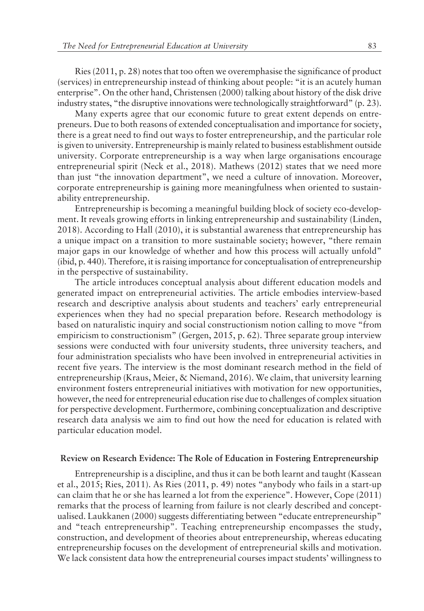Ries (2011, p. 28) notes that too often we overemphasise the significance of product (services) in entrepreneurship instead of thinking about people: "it is an acutely human enterprise". On the other hand, Christensen (2000) talking about history of the disk drive industry states, "the disruptive innovations were technologically straightforward" (p. 23).

Many experts agree that our economic future to great extent depends on entrepreneurs. Due to both reasons of extended conceptualisation and importance for society, there is a great need to find out ways to foster entrepreneurship, and the particular role is given to university. Entrepreneurship is mainly related to business establishment outside university. Corporate entrepreneurship is a way when large organisations encourage entrepreneurial spirit (Neck et al., 2018). Mathews (2012) states that we need more than just "the innovation department", we need a culture of innovation. Moreover, corporate entrepreneurship is gaining more meaningfulness when oriented to sustainability entrepreneurship.

Entrepreneurship is becoming a meaningful building block of society eco-development. It reveals growing efforts in linking entrepreneurship and sustainability (Linden, 2018). According to Hall (2010), it is substantial awareness that entrepreneurship has a unique impact on a transition to more sustainable society; however, "there remain major gaps in our knowledge of whether and how this process will actually unfold" (ibid, p. 440). Therefore, it is raising importance for conceptualisation of entrepreneurship in the perspective of sustainability.

The article introduces conceptual analysis about different education models and generated impact on entrepreneurial activities. The article embodies interview-based research and descriptive analysis about students and teachers' early entrepreneurial experiences when they had no special preparation before. Research methodology is based on naturalistic inquiry and social constructionism notion calling to move "from empiricism to constructionism" (Gergen, 2015, p. 62). Three separate group interview sessions were conducted with four university students, three university teachers, and four administration specialists who have been involved in entrepreneurial activities in recent five years. The interview is the most dominant research method in the field of entrepreneurship (Kraus, Meier, & Niemand, 2016). We claim, that university learning environment fosters entrepreneurial initiatives with motivation for new opportunities, however, the need for entrepreneurial education rise due to challenges of complex situation for perspective development. Furthermore, combining conceptualization and descriptive research data analysis we aim to find out how the need for education is related with particular education model.

#### **Review on Research Evidence: The Role of Education in Fostering Entrepreneurship**

Entrepreneurship is a discipline, and thus it can be both learnt and taught (Kassean et al.,  $2015$ ; Ries,  $2011$ ). As Ries  $(2011, p. 49)$  notes "anybody who fails in a start-up can claim that he or she has learned a lot from the experience". However, Cope (2011) remarks that the process of learning from failure is not clearly described and conceptualised. Laukkanen (2000) suggests differentiating between "educate entrepreneurship" and "teach entrepreneurship". Teaching entrepreneurship encompasses the study, construction, and development of theories about entrepreneurship, whereas educating entrepreneurship focuses on the development of entrepreneurial skills and motivation. We lack consistent data how the entrepreneurial courses impact students' willingness to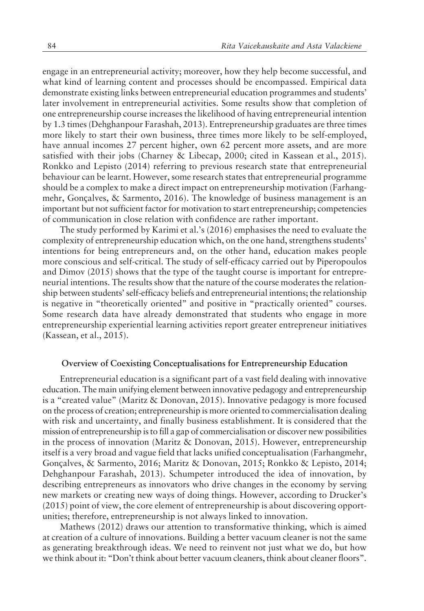engage in an entrepreneurial activity; moreover, how they help become successful, and what kind of learning content and processes should be encompassed. Empirical data demonstrate existing links between entrepreneurial education programmes and students' later involvement in entrepreneurial activities. Some results show that completion of one entrepreneurship course increases the likelihood of having entrepreneurial intention by 1.3 times (Dehghanpour Farashah, 2013). Entrepreneurship graduates are three times more likely to start their own business, three times more likely to be self-employed, have annual incomes 27 percent higher, own 62 percent more assets, and are more satisfied with their jobs (Charney & Libecap, 2000; cited in Kassean et al., 2015). Ronkko and Lepisto (2014) referring to previous research state that entrepreneurial behaviour can be learnt. However, some research states that entrepreneurial programme should be a complex to make a direct impact on entrepreneurship motivation (Farhangmehr, Gonçalves, & Sarmento, 2016). The knowledge of business management is an important but not sufficient factor for motivation to start entrepreneurship; competencies of communication in close relation with confidence are rather important.

The study performed by Karimi et al.'s (2016) emphasises the need to evaluate the complexity of entrepreneurship education which, on the one hand, strengthens students' intentions for being entrepreneurs and, on the other hand, education makes people more conscious and self-critical. The study of self-efficacy carried out by Piperopoulos and Dimov (2015) shows that the type of the taught course is important for entrepreneurial intentions. The results show that the nature of the course moderates the relationship between students' self-efficacy beliefs and entrepreneurial intentions; the relationship is negative in "theoretically oriented" and positive in "practically oriented" courses. Some research data have already demonstrated that students who engage in more entrepreneurship experiential learning activities report greater entrepreneur initiatives (Kassean, et al., 2015).

#### **Overview of Coexisting Conceptualisations for Entrepreneurship Education**

Entrepreneurial education is a significant part of a vast field dealing with innovative education. The main unifying element between innovative pedagogy and entrepreneurship is a "created value" (Maritz & Donovan, 2015). Innovative pedagogy is more focused on the process of creation; entrepreneurship is more oriented to commercialisation dealing with risk and uncertainty, and finally business establishment. It is considered that the mission of entrepreneurship is to fill a gap of commercialisation or discover new possibilities in the process of innovation (Maritz & Donovan, 2015). However, entrepreneurship itself is a very broad and vague field that lacks unified conceptualisation (Farhangmehr, Gonçalves, & Sarmento, 2016; Maritz & Donovan, 2015; Ronkko & Lepisto, 2014; Dehghanpour Farashah, 2013). Schumpeter introduced the idea of innovation, by describing entrepreneurs as innovators who drive changes in the economy by serving new markets or creating new ways of doing things. However, according to Drucker's (2015) point of view, the core element of entrepreneurship is about discovering opportunities; therefore, entrepreneurship is not always linked to innovation.

Mathews (2012) draws our attention to transformative thinking, which is aimed at creation of a culture of innovations. Building a better vacuum cleaner is not the same as generating breakthrough ideas. We need to reinvent not just what we do, but how we think about it: "Don't think about better vacuum cleaners, think about cleaner floors".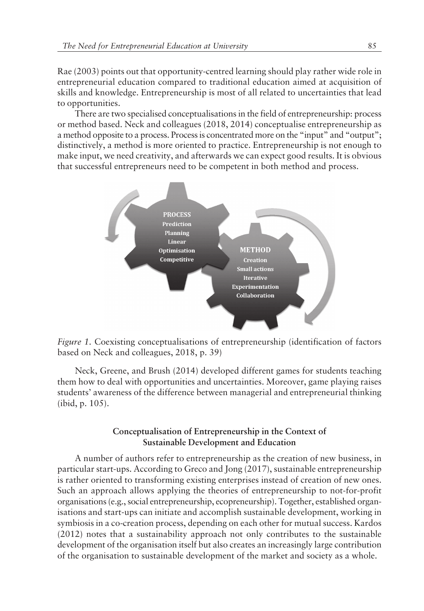Rae (2003) points out that opportunity-centred learning should play rather wide role in entrepreneurial education compared to traditional education aimed at acquisition of skills and knowledge. Entrepreneurship is most of all related to uncertainties that lead to opportunities.

There are two specialised conceptualisations in the field of entrepreneurship: process or method based. Neck and colleagues (2018, 2014) conceptualise entrepreneurship as a method opposite to a process. Process is concentrated more on the "input" and "output"; distinctively, a method is more oriented to practice. Entrepreneurship is not enough to make input, we need creativity, and afterwards we can expect good results. It is obvious that successful entrepreneurs need to be competent in both method and process.



*Figure 1.* Coexisting conceptualisations of entrepreneurship (identification of factors based on Neck and colleagues, 2018, p. 39)

Neck, Greene, and Brush (2014) developed different games for students teaching them how to deal with opportunities and uncertainties. Moreover, game playing raises students' awareness of the difference between managerial and entrepreneurial thinking (ibid, p. 105).

# **Conceptualisation of Entrepreneurship in the Context of Sustainable Development and Education**

A number of authors refer to entrepreneurship as the creation of new business, in particular start-ups. According to Greco and Jong (2017), sustainable entrepreneurship is rather oriented to transforming existing enterprises instead of creation of new ones. Such an approach allows applying the theories of entrepreneurship to not-for-profit organisations (e.g., social entrepreneurship, ecopreneurship). Together, established organisations and start-ups can initiate and accomplish sustainable development, working in symbiosis in a co-creation process, depending on each other for mutual success. Kardos (2012) notes that a sustainability approach not only contributes to the sustainable development of the organisation itself but also creates an increasingly large contribution of the organisation to sustainable development of the market and society as a whole.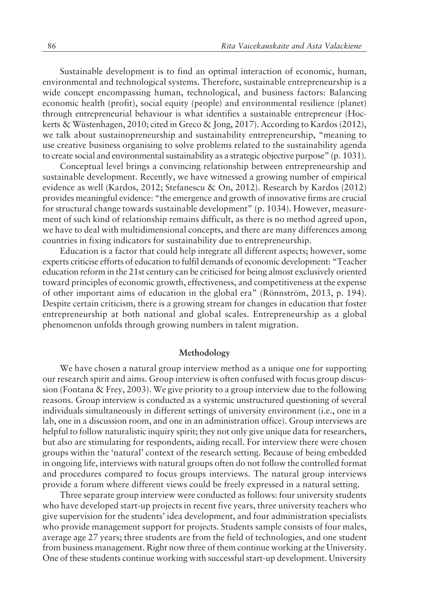Sustainable development is to find an optimal interaction of economic, human, environmental and technological systems. Therefore, sustainable entrepreneurship is a wide concept encompassing human, technological, and business factors: Balancing economic health (profit), social equity (people) and environmental resilience (planet) through entrepreneurial behaviour is what identifies a sustainable entrepreneur (Hockerts & Wüstenhagen, 2010; cited in Greco & Jong, 2017). According to Kardos (2012), we talk about sustainopreneurship and sustainability entrepreneurship, "meaning to use creative business organising to solve problems related to the sustainability agenda to create social and environmental sustainability as a strategic objective purpose" (p. 1031).

Conceptual level brings a convincing relationship between entrepreneurship and sustainable development. Recently, we have witnessed a growing number of empirical evidence as well (Kardos, 2012; Stefanescu & On, 2012). Research by Kardos (2012) provides meaningful evidence: "the emergence and growth of innovative firms are crucial for structural change towards sustainable development"  $(p. 1034)$ . However, measurement of such kind of relationship remains difficult, as there is no method agreed upon, we have to deal with multidimensional concepts, and there are many differences among countries in fixing indicators for sustainability due to entrepreneurship.

Education is a factor that could help integrate all different aspects; however, some experts criticise efforts of education to fulfil demands of economic development: "Teacher education reform in the 21st century can be criticised for being almost exclusively oriented toward principles of economic growth, effectiveness, and competitiveness at the expense of other important aims of education in the global era" (Rönnström, 2013, p. 194). Despite certain criticism, there is a growing stream for changes in education that foster entrepreneurship at both national and global scales. Entrepreneurship as a global phenomenon unfolds through growing numbers in talent migration.

#### **Methodology**

We have chosen a natural group interview method as a unique one for supporting our research spirit and aims. Group interview is often confused with focus group discussion (Fontana & Frey, 2003). We give priority to a group interview due to the following reasons. Group interview is conducted as a systemic unstructured questioning of several individuals simultaneously in different settings of university environment (i.e., one in a lab, one in a discussion room, and one in an administration office). Group interviews are helpful to follow naturalistic inquiry spirit; they not only give unique data for researchers, but also are stimulating for respondents, aiding recall. For interview there were chosen groups within the 'natural' context of the research setting. Because of being embedded in ongoing life, interviews with natural groups often do not follow the controlled format and procedures compared to focus groups interviews. The natural group interviews provide a forum where different views could be freely expressed in a natural setting.

Three separate group interview were conducted as follows: four university students who have developed start-up projects in recent five years, three university teachers who give supervision for the studentsí idea development, and four administration specialists who provide management support for projects. Students sample consists of four males, average age 27 years; three students are from the field of technologies, and one student from business management. Right now three of them continue working at the University. One of these students continue working with successful start-up development. University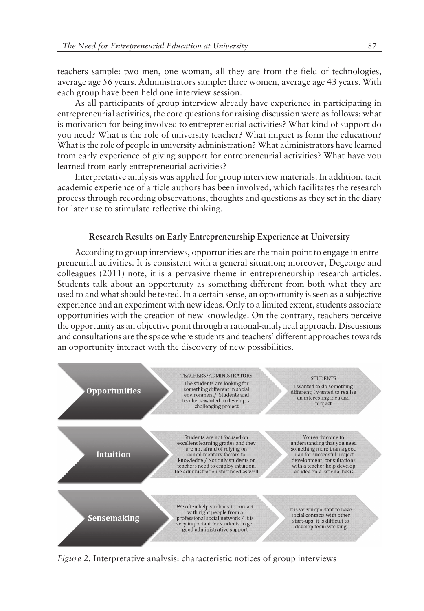teachers sample: two men, one woman, all they are from the field of technologies, average age 56 years. Administrators sample: three women, average age 43 years. With each group have been held one interview session.

As all participants of group interview already have experience in participating in entrepreneurial activities, the core questions for raising discussion were as follows: what is motivation for being involved to entrepreneurial activities? What kind of support do you need? What is the role of university teacher? What impact is form the education? What is the role of people in university administration? What administrators have learned from early experience of giving support for entrepreneurial activities? What have you learned from early entrepreneurial activities?

Interpretative analysis was applied for group interview materials. In addition, tacit academic experience of article authors has been involved, which facilitates the research process through recording observations, thoughts and questions as they set in the diary for later use to stimulate reflective thinking.

## **Research Results on Early Entrepreneurship Experience at University**

According to group interviews, opportunities are the main point to engage in entrepreneurial activities. It is consistent with a general situation; moreover, Degeorge and colleagues (2011) note, it is a pervasive theme in entrepreneurship research articles. Students talk about an opportunity as something different from both what they are used to and what should be tested. In a certain sense, an opportunity is seen as a subjective experience and an experiment with new ideas. Only to a limited extent, students associate opportunities with the creation of new knowledge. On the contrary, teachers perceive the opportunity as an objective point through a rational-analytical approach. Discussions and consultations are the space where students and teachers' different approaches towards an opportunity interact with the discovery of new possibilities.



*Figure 2.* Interpretative analysis: characteristic notices of group interviews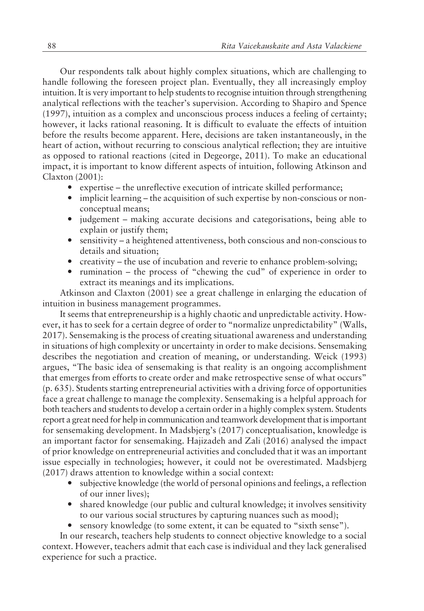Our respondents talk about highly complex situations, which are challenging to handle following the foreseen project plan. Eventually, they all increasingly employ intuition. It is very important to help students to recognise intuition through strengthening analytical reflections with the teacher's supervision. According to Shapiro and Spence (1997), intuition as a complex and unconscious process induces a feeling of certainty; however, it lacks rational reasoning. It is difficult to evaluate the effects of intuition before the results become apparent. Here, decisions are taken instantaneously, in the heart of action, without recurring to conscious analytical reflection; they are intuitive as opposed to rational reactions (cited in Degeorge, 2011). To make an educational impact, it is important to know different aspects of intuition, following Atkinson and Claxton (2001):

- expertise  $-$  the unreflective execution of intricate skilled performance;
- implicit learning the acquisition of such expertise by non-conscious or nonconceptual means;
- judgement making accurate decisions and categorisations, being able to explain or justify them;
- sensitivity a heightened attentiveness, both conscious and non-conscious to details and situation;
- creativity the use of incubation and reverie to enhance problem-solving;
- rumination the process of "chewing the cud" of experience in order to extract its meanings and its implications.

Atkinson and Claxton (2001) see a great challenge in enlarging the education of intuition in business management programmes.

It seems that entrepreneurship is a highly chaotic and unpredictable activity. However, it has to seek for a certain degree of order to "normalize unpredictability" (Walls, 2017). Sensemaking is the process of creating situational awareness and understanding in situations of high complexity or uncertainty in order to make decisions. Sensemaking describes the negotiation and creation of meaning, or understanding. Weick (1993) argues, "The basic idea of sensemaking is that reality is an ongoing accomplishment that emerges from efforts to create order and make retrospective sense of what occurs" (p. 635). Students starting entrepreneurial activities with a driving force of opportunities face a great challenge to manage the complexity. Sensemaking is a helpful approach for both teachers and students to develop a certain order in a highly complex system. Students report a great need for help in communication and teamwork development that is important for sensemaking development. In Madsbjerg's (2017) conceptualisation, knowledge is an important factor for sensemaking. Hajizadeh and Zali (2016) analysed the impact of prior knowledge on entrepreneurial activities and concluded that it was an important issue especially in technologies; however, it could not be overestimated. Madsbjerg (2017) draws attention to knowledge within a social context:

- ó subjective knowledge (the world of personal opinions and feelings, a reflection of our inner lives);
- shared knowledge (our public and cultural knowledge; it involves sensitivity to our various social structures by capturing nuances such as mood);
- sensory knowledge (to some extent, it can be equated to "sixth sense").

In our research, teachers help students to connect objective knowledge to a social context. However, teachers admit that each case is individual and they lack generalised experience for such a practice.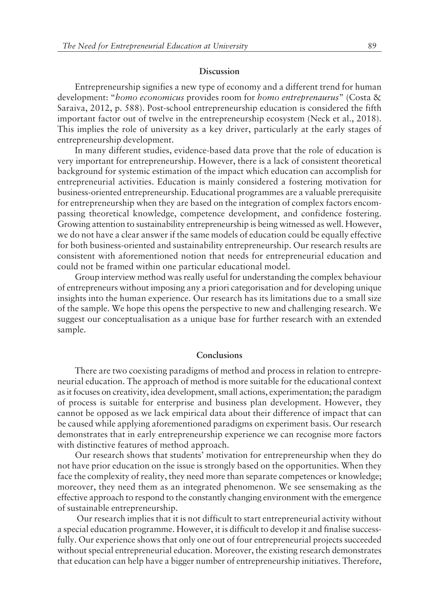#### **Discussion**

Entrepreneurship signifies a new type of economy and a different trend for human development: "*homo economicus* provides room for *homo entreprenaurus*" (Costa & Saraiva, 2012, p. 588). Post-school entrepreneurship education is considered the fifth important factor out of twelve in the entrepreneurship ecosystem (Neck et al., 2018). This implies the role of university as a key driver, particularly at the early stages of entrepreneurship development.

In many different studies, evidence-based data prove that the role of education is very important for entrepreneurship. However, there is a lack of consistent theoretical background for systemic estimation of the impact which education can accomplish for entrepreneurial activities. Education is mainly considered a fostering motivation for business-oriented entrepreneurship. Educational programmes are a valuable prerequisite for entrepreneurship when they are based on the integration of complex factors encompassing theoretical knowledge, competence development, and confidence fostering. Growing attention to sustainability entrepreneurship is being witnessed as well. However, we do not have a clear answer if the same models of education could be equally effective for both business-oriented and sustainability entrepreneurship. Our research results are consistent with aforementioned notion that needs for entrepreneurial education and could not be framed within one particular educational model.

Group interview method was really useful for understanding the complex behaviour of entrepreneurs without imposing any a priori categorisation and for developing unique insights into the human experience. Our research has its limitations due to a small size of the sample. We hope this opens the perspective to new and challenging research. We suggest our conceptualisation as a unique base for further research with an extended sample.

#### **Conclusions**

There are two coexisting paradigms of method and process in relation to entrepreneurial education. The approach of method is more suitable for the educational context as it focuses on creativity, idea development, small actions, experimentation; the paradigm of process is suitable for enterprise and business plan development. However, they cannot be opposed as we lack empirical data about their difference of impact that can be caused while applying aforementioned paradigms on experiment basis. Our research demonstrates that in early entrepreneurship experience we can recognise more factors with distinctive features of method approach.

Our research shows that students' motivation for entrepreneurship when they do not have prior education on the issue is strongly based on the opportunities. When they face the complexity of reality, they need more than separate competences or knowledge; moreover, they need them as an integrated phenomenon. We see sensemaking as the effective approach to respond to the constantly changing environment with the emergence of sustainable entrepreneurship.

 Our research implies that it is not difficult to start entrepreneurial activity without a special education programme. However, it is difficult to develop it and finalise successfully. Our experience shows that only one out of four entrepreneurial projects succeeded without special entrepreneurial education. Moreover, the existing research demonstrates that education can help have a bigger number of entrepreneurship initiatives. Therefore,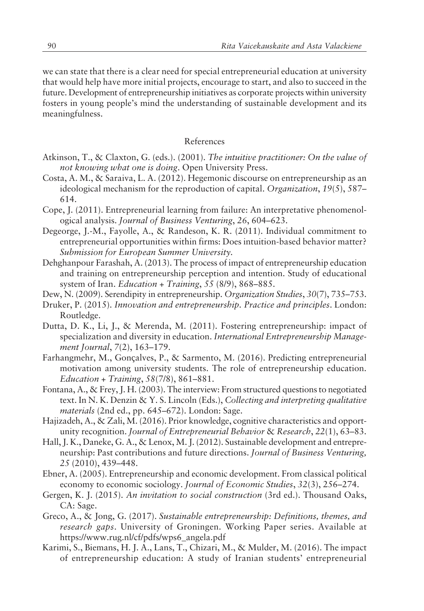we can state that there is a clear need for special entrepreneurial education at university that would help have more initial projects, encourage to start, and also to succeed in the future. Development of entrepreneurship initiatives as corporate projects within university fosters in young people's mind the understanding of sustainable development and its meaningfulness.

### References

- Atkinson, T., & Claxton, G. (eds.). (2001). *The intuitive practitioner: On the value of not knowing what one is doing*. Open University Press.
- Costa, A. M., & Saraiva, L. A. (2012). Hegemonic discourse on entrepreneurship as an ideological mechanism for the reproduction of capital. *Organization*, 19(5), 587-614.
- Cope, J. (2011). Entrepreneurial learning from failure: An interpretative phenomenological analysis. *Journal of Business Venturing*, 26, 604-623.
- Degeorge, J.-M., Fayolle, A., & Randeson, K. R. (2011). Individual commitment to entrepreneurial opportunities within firms: Does intuition-based behavior matter? *Submission for European Summer University.*
- Dehghanpour Farashah, A. (2013). The process of impact of entrepreneurship education and training on entrepreneurship perception and intention. Study of educational system of Iran. *Education* + Training, 55 (8/9), 868-885.
- Dew, N. (2009). Serendipity in entrepreneurship. *Organization Studies*, 30(7), 735-753.
- Druker, P. (2015). *Innovation and entrepreneurship. Practice and principles*. London: Routledge.
- Dutta, D. K., Li, J., & Merenda, M. (2011). Fostering entrepreneurship: impact of specialization and diversity in education. *International Entrepreneurship Management Journal*, *7*(2), 163–179.
- Farhangmehr, M., Gonçalves, P., & Sarmento, M. (2016). Predicting entrepreneurial motivation among university students. The role of entrepreneurship education. *Education + Training*,  $58(7/8)$ ,  $861-881$ .
- Fontana, A., & Frey, J. H. (2003). The interview: From structured questions to negotiated text. In N. K. Denzin & Y. S. Lincoln (Eds.), *Collecting and interpreting qualitative materials* (2nd ed., pp. 645–672). London: Sage.
- Hajizadeh, A., & Zali, M. (2016). Prior knowledge, cognitive characteristics and opportunity recognition. *Journal of Entrepreneurial Behavior & Research*, 22(1), 63-83.
- Hall, J. K., Daneke, G. A., & Lenox, M. J. (2012). Sustainable development and entrepreneurship: Past contributions and future directions. *Journal of Business Venturing,* 25 (2010), 439-448.
- Ebner, A. (2005). Entrepreneurship and economic development. From classical political economy to economic sociology. *Journal of Economic Studies*, 32(3), 256–274.
- Gergen, K. J. (2015). *An invitation to social construction* (3rd ed.). Thousand Oaks, CA: Sage.
- Greco, A., & Jong, G. (2017). *Sustainable entrepreneurship: Definitions, themes, and research gaps*. University of Groningen. Working Paper series. Available at https://www.rug.nl/cf/pdfs/wps6\_angela.pdf
- Karimi, S., Biemans, H. J. A., Lans, T., Chizari, M., & Mulder, M. (2016). The impact of entrepreneurship education: A study of Iranian students' entrepreneurial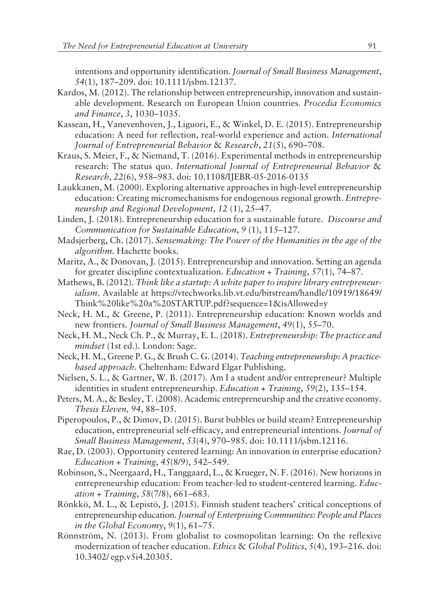intentions and opportunity identification. *Journal of Small Business Management*, *54*(1), 187–209. doi: 10.1111/jsbm.12137.

- Kardos, M. (2012). The relationship between entrepreneurship, innovation and sustainable development. Research on European Union countries. *Procedia Economics and Finance*, 3, 1030–1035.
- Kassean, H., Vanevenhoven, J., Liguori, E., & Winkel, D. E. (2015). Entrepreneurship education: A need for reflection, real-world experience and action. *International Journal of Entrepreneurial Behavior & Research, 21(5), 690–708.*
- Kraus, S. Meier, F., & Niemand, T. (2016). Experimental methods in entrepreneurship research: The status quo. *International Journal of Entrepreneurial Behavior* & *Research*, 22(6), 958-983. doi: 10.1108/IJEBR-05-2016-0135
- Laukkanen, M. (2000). Exploring alternative approaches in high-level entrepreneurship education: Creating micromechanisms for endogenous regional growth. *Entrepreneurship and Regional Development, 12 (1), 25-47.*
- Linden, J. (2018). Entrepreneurship education for a sustainable future. *Discourse and Communication for Sustainable Education, 9 (1), 115-127.*
- Madsjerberg, Ch. (2017). *Sensemaking: The Power of the Humanities in the age of the algorithm.* Hachette books.
- Maritz, A., & Donovan, J. (2015). Entrepreneurship and innovation. Setting an agenda for greater discipline contextualization. *Education + Training*, 57(1), 74-87.
- Mathews, B. (2012). *Think like a startup: A white paper to inspire library entrepreneurialism*. Available at https://vtechworks.lib.vt.edu/bitstream/handle/10919/18649/ Think%20like%20a%20STARTUP.pdf?sequence=1&isAllowed=y
- Neck, H. M., & Greene, P. (2011). Entrepreneurship education: Known worlds and new frontiers. *Journal of Small Business Management*, 49(1), 55-70.
- Neck, H. M., Neck Ch. P., & Murray, E. L. (2018). *Entrepreneurship: The practice and mindset* (1st ed.). London: Sage.
- Neck, H. M., Greene P. G., & Brush C. G. (2014). *Teaching entrepreneurship: A practicebased approach*. Cheltenham: Edward Elgar Publishing.
- Nielsen, S. L., & Gartner, W. B. (2017). Am I a student and/or entrepreneur? Multiple identities in student entrepreneurship. *Education + Training*, *59*(2), 135–154.
- Peters, M. A., & Besley, T. (2008). Academic entrepreneurship and the creative economy. *Thesis Eleven, 94, 88-105.*
- Piperopoulos, P., & Dimov, D. (2015). Burst bubbles or build steam? Entrepreneurship education, entrepreneurial self-efficacy, and entrepreneurial intentions. *Journal of Small Business Management*, *53*(4), 970–985. doi: 10.1111/jsbm.12116.
- Rae, D. (2003). Opportunity centered learning: An innovation in enterprise education? *Education + Training*,  $45(8/9)$ ,  $542-549$ .
- Robinson, S., Neergaard, H., Tanggaard, L., & Krueger, N. F. (2016). New horizons in entrepreneurship education: From teacher-led to student-centered learning. *Education* + Training, 58(7/8), 661–683.
- Rönkkö, M. L., & Lepistö, J. (2015). Finnish student teachers' critical conceptions of entrepreneurship education. *Journal of Enterprising Communities: People and Places in the Global Economy*,  $9(1)$ , 61–75.
- Rönnström, N. (2013). From globalist to cosmopolitan learning: On the reflexive modernization of teacher education. *Ethics & Global Politics*, 5(4), 193–216. doi: 10.3402/ egp.v5i4.20305.